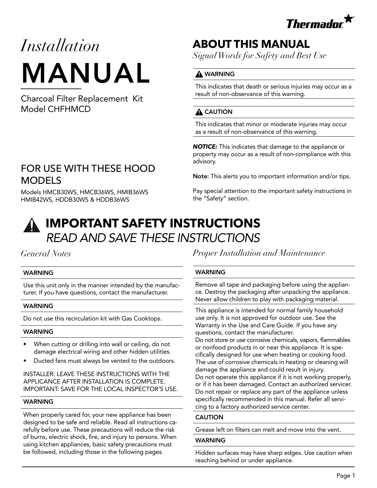

# *Installation* MANUAL

Charcoal Filter Replacement Kit Model CHFHMCD

### FOR USE WITH THESE HOOD MODELS

Models HMCB30WS, HMCB36WS, HMIB36WS HMIB42WS, HDDB30WS & HDDB36WS

# **ABOUT THIS MANUAL**

*Signal Words for Safety and Best Use*

### **A** WARNING

This indicates that death or serious injuries may occur as a result of non-observance of this warning.

### A CAUTION

This indicates that minor or moderate injuries may occur as a result of non-observance of this warning.

*NOTICE:* This indicates that damage to the appliance or property may occur as a result of non-compliance with this advisory.

Note: This alerts you to important information and/or tips.

Pay special attention to the important safety instructions in the "Safety" section.

# **IMPORTANT SAFETY INSTRUCTIONS** *READ AND SAVE THESE INSTRUCTIONS*

### *General Notes*

#### WARNING

Use this unit only in the manner intended by the manufacturer. If you have questions, contact the manufacturer.

#### WARNING

Do not use this recirculation kit with Gas Cooktops.

#### WARNING

- When cutting or drilling into wall or ceiling, do not damage electrical wiring and other hidden utilities.
- Ducted fans must always be vented to the outdoors.

#### INSTALLER: LEAVE THESE INSTRUCTIONS WITH THE APPLICANCE AFTER INSTALLATION IS COMPLETE. IMPORTANT: SAVE FOR THE LOCAL INSPECTOR'S USE.

#### **WARNING**

When properly cared for, your new appliance has been designed to be safe and reliable. Read all instructions carefully before use. These precautions will reduce the risk of burns, electric shock, fire, and injury to persons. When using kitchen appliances, basic safety precautions must be followed, including those in the following pages.

*Proper Installation and Maintenance*

#### WARNING

Remove all tape and packaging before using the appliance. Destroy the packaging after unpacking the appliance. Never allow children to play with packaging material.

This appliance is intended for normal family household use only. It is not approved for outdoor use. See the Warranty in the Use and Care Guide. If you have any questions, contact the manufacturer.

Do not store or use corrosive chemicals, vapors, flammables or nonfood products in or near this appliance. It is specifically designed for use when heating or cooking food. The use of corrosive chemicals in heating or cleaning will damage the appliance and could result in injury. Do not operate this appliance if it is not working properly, or if it has been damaged. Contact an authorized servicer. Do not repair or replace any part of the appliance unless specifically recommended in this manual. Refer all servicing to a factory authorized service center.

#### CAUTION

Grease left on filters can melt and move into the vent.

#### WARNING

Hidden surfaces may have sharp edges. Use caution when reaching behind or under appliance.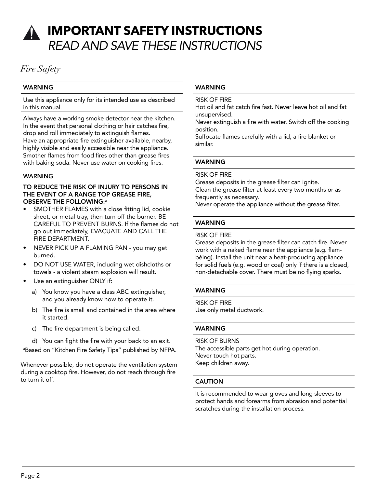# **IMPORTANT SAFETY INSTRUCTIONS** *READ AND SAVE THESE INSTRUCTIONS*

### *Fire Safety*

#### WARNING

Use this appliance only for its intended use as described in this manual.

Always have a working smoke detector near the kitchen. In the event that personal clothing or hair catches fire, drop and roll immediately to extinguish flames. Have an appropriate fire extinguisher available, nearby, highly visible and easily accessible near the appliance. Smother flames from food fires other than grease fires with baking soda. Never use water on cooking fires.

#### WARNING

#### TO REDUCE THE RISK OF INJURY TO PERSONS IN THE EVENT OF A RANGE TOP GREASE FIRE, OBSERVE THE FOLLOWING:<sup>a</sup>

- SMOTHER FLAMES with a close fitting lid, cookie sheet, or metal tray, then turn off the burner. BE CAREFUL TO PREVENT BURNS. If the flames do not go out immediately, EVACUATE AND CALL THE FIRE DEPARTMENT.
- NEVER PICK UP A FLAMING PAN you may get burned.
- DO NOT USE WATER, including wet dishcloths or towels - a violent steam explosion will result.
- Use an extinguisher ONLY if:
	- a) You know you have a class ABC extinguisher, and you already know how to operate it.
	- b) The fire is small and contained in the area where it started.
	- c) The fire department is being called.
	- d) You can fight the fire with your back to an exit.

a Based on "Kitchen Fire Safety Tips" published by NFPA.

Whenever possible, do not operate the ventilation system during a cooktop fire. However, do not reach through fire to turn it off.

#### WARNING

RISK OF FIRE

Hot oil and fat catch fire fast. Never leave hot oil and fat unsupervised.

Never extinguish a fire with water. Switch off the cooking position.

Suffocate flames carefully with a lid, a fire blanket or similar.

#### WARNING

#### RISK OF FIRE

Grease deposits in the grease filter can ignite. Clean the grease filter at least every two months or as frequently as necessary.

Never operate the appliance without the grease filter.

#### WARNING

#### RISK OF FIRE

Grease deposits in the grease filter can catch fire. Never work with a naked flame near the appliance (e.g. flambéing). Install the unit near a heat-producing appliance for solid fuels (e.g. wood or coal) only if there is a closed, non-detachable cover. There must be no flying sparks.

#### WARNING

RISK OF FIRE Use only metal ductwork.

#### WARNING

#### RISK OF BURNS

The accessible parts get hot during operation. Never touch hot parts. Keep children away.

#### **CAUTION**

It is recommended to wear gloves and long sleeves to protect hands and forearms from abrasion and potential scratches during the installation process.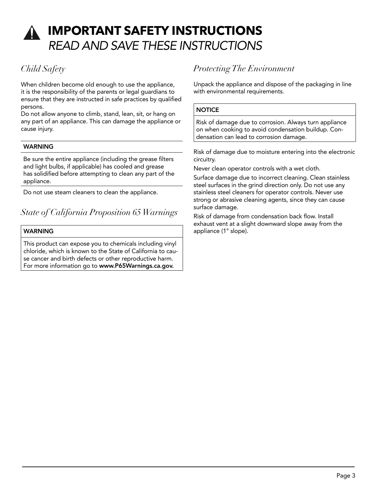# **IMPORTANT SAFETY INSTRUCTIONS** *READ AND SAVE THESE INSTRUCTIONS*

### *Child Safety*

When children become old enough to use the appliance, it is the responsibility of the parents or legal guardians to ensure that they are instructed in safe practices by qualified persons.

Do not allow anyone to climb, stand, lean, sit, or hang on any part of an appliance. This can damage the appliance or cause injury.

#### **WARNING**

Be sure the entire appliance (including the grease filters and light bulbs, if applicable) has cooled and grease has solidified before attempting to clean any part of the appliance.

Do not use steam cleaners to clean the appliance.

### *State of California Proposition 65 Warnings*

#### WARNING

This product can expose you to chemicals including vinyl chloride, which is known to the State of California to cause cancer and birth defects or other reproductive harm. For more information go to www.P65Warnings.ca.gov.

### *Protecting The Environment*

Unpack the appliance and dispose of the packaging in line with environmental requirements.

#### **NOTICE**

Risk of damage due to corrosion. Always turn appliance on when cooking to avoid condensation buildup. Condensation can lead to corrosion damage.

Risk of damage due to moisture entering into the electronic circuitry.

Never clean operator controls with a wet cloth.

Surface damage due to incorrect cleaning. Clean stainless steel surfaces in the grind direction only. Do not use any stainless steel cleaners for operator controls. Never use strong or abrasive cleaning agents, since they can cause surface damage.

Risk of damage from condensation back flow. Install exhaust vent at a slight downward slope away from the appliance (1° slope).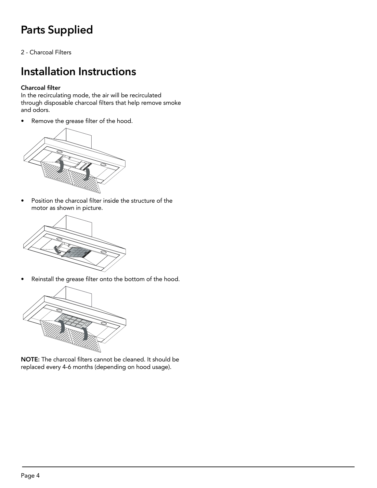# **Parts Supplied**

2 - Charcoal Filters

# **Installation Instructions**

#### Charcoal filter

In the recirculating mode, the air will be recirculated through disposable charcoal filters that help remove smoke and odors.

• Remove the grease filter of the hood.



• Position the charcoal filter inside the structure of the motor as shown in picture.



• Reinstall the grease filter onto the bottom of the hood.



NOTE: The charcoal filters cannot be cleaned. It should be replaced every 4-6 months (depending on hood usage).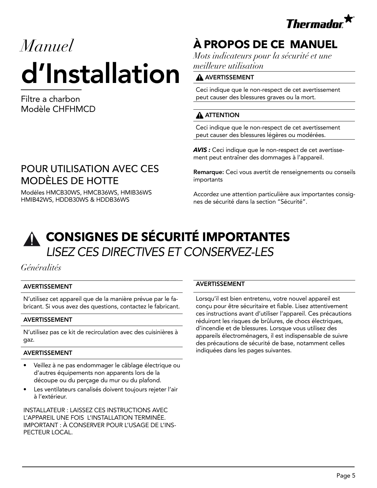

# *Manuel*  d'Installation

Filtre a charbon Modèle CHFHMCD

## POUR UTILISATION AVEC CES MODÈLES DE HOTTE

Modéles HMCB30WS, HMCB36WS, HMIB36WS HMIB42WS, HDDB30WS & HDDB36WS

# **À PROPOS DE CE MANUEL**

*Mots indicateurs pour la sécurité et une meilleure utilisation*

#### A AVERTISSEMENT

Ceci indique que le non-respect de cet avertissement peut causer des blessures graves ou la mort.

### **A** ATTENTION

Ceci indique que le non-respect de cet avertissement peut causer des blessures légères ou modérées.

*AVIS :* Ceci indique que le non-respect de cet avertissement peut entraîner des dommages à l'appareil.

Remarque: Ceci vous avertit de renseignements ou conseils importants

Accordez une attention particulière aux importantes consignes de sécurité dans la section "Sécurité".

# **CONSIGNES DE SÉCURITÉ IMPORTANTES**  *LISEZ CES DIRECTIVES ET CONSERVEZ-LES*

*Généralités*

#### AVERTISSEMENT

N'utilisez cet appareil que de la manière prévue par le fabricant. Si vous avez des questions, contactez le fabricant.

#### AVERTISSEMENT

N'utilisez pas ce kit de recirculation avec des cuisinières à gaz.

#### AVERTISSEMENT

- Veillez à ne pas endommager le câblage électrique ou d'autres équipements non apparents lors de la découpe ou du perçage du mur ou du plafond.
- Les ventilateurs canalisés doivent toujours rejeter l'air à l'extérieur.

INSTALLATEUR : LAISSEZ CES INSTRUCTIONS AVEC L'APPAREIL UNE FOIS L'INSTALLATION TERMINÉE. IMPORTANT : À CONSERVER POUR L'USAGE DE L'INS-PECTEUR LOCAL.

#### AVERTISSEMENT

Lorsqu'il est bien entretenu, votre nouvel appareil est conçu pour être sécuritaire et fiable. Lisez attentivement ces instructions avant d'utiliser l'appareil. Ces précautions réduiront les risques de brûlures, de chocs électriques, d'incendie et de blessures. Lorsque vous utilisez des appareils électroménagers, il est indispensable de suivre des précautions de sécurité de base, notamment celles indiquées dans les pages suivantes.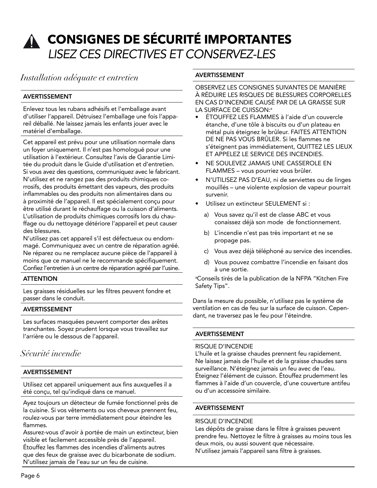# **CONSIGNES DE SÉCURITÉ IMPORTANTES**  *LISEZ CES DIRECTIVES ET CONSERVEZ-LES*

*Installation adéquate et entretien*

#### AVERTISSEMENT

Enlevez tous les rubans adhésifs et l'emballage avant d'utiliser l'appareil. Détruisez l'emballage une fois l'appareil déballé. Ne laissez jamais les enfants jouer avec le matériel d'emballage.

Cet appareil est prévu pour une utilisation normale dans un foyer uniquement. Il n'est pas homologué pour une utilisation à l'extérieur. Consultez l'avis de Garantie Limitée du produit dans le Guide d'utilisation et d'entretien. Si vous avez des questions, communiquez avec le fabricant. N'utilisez et ne rangez pas des produits chimiques corrosifs, des produits émettant des vapeurs, des produits inflammables ou des produits non alimentaires dans ou à proximité de l'appareil. Il est spécialement conçu pour être utilisé durant le réchauffage ou la cuisson d'aliments. L'utilisation de produits chimiques corrosifs lors du chauffage ou du nettoyage détériore l'appareil et peut causer des blessures.

N'utilisez pas cet appareil s'il est défectueux ou endommagé. Communiquez avec un centre de réparation agréé. Ne réparez ou ne remplacez aucune pièce de l'appareil à moins que ce manuel ne le recommande spécifiquement. Confiez l'entretien à un centre de réparation agréé par l'usine.

#### **ATTENTION**

Les graisses résiduelles sur les filtres peuvent fondre et passer dans le conduit.

#### AVERTISSEMENT

Les surfaces masquées peuvent comporter des arêtes tranchantes. Soyez prudent lorsque vous travaillez sur l'arrière ou le dessous de l'appareil.

### *Sécurité incendie*

#### AVERTISSEMENT

Utilisez cet appareil uniquement aux fins auxquelles il a été conçu, tel qu'indiqué dans ce manuel.

Ayez toujours un détecteur de fumée fonctionnel près de la cuisine. Si vos vêtements ou vos cheveux prennent feu, roulez-vous par terre immédiatement pour éteindre les flammes.

Assurez-vous d'avoir à portée de main un extincteur, bien visible et facilement accessible près de l'appareil. Étouffez les flammes des incendies d'aliments autres que des feux de graisse avec du bicarbonate de sodium. N'utilisez jamais de l'eau sur un feu de cuisine.

#### AVERTISSEMENT

OBSERVEZ LES CONSIGNES SUIVANTES DE MANIÈRE À RÉDUIRE LES RISQUES DE BLESSURES CORPORELLES EN CAS D'INCENDIE CAUSÉ PAR DE LA GRAISSE SUR LA SURFACE DE CUISSON:<sup>a</sup>

- ÉTOUFFEZ LES FLAMMES à l'aide d'un couvercle étanche, d'une tôle à biscuits ou d'un plateau en métal puis éteignez le brûleur. FAITES ATTENTION DE NE PAS VOUS BRÛLER. Si les flammes ne s'éteignent pas immédiatement, QUITTEZ LES LIEUX ET APPELEZ LE SERVICE DES INCENDIES.
- NE SOULEVEZ JAMAIS UNE CASSEROLE EN FLAMMES – vous pourriez vous brûler.
- N'UTILISEZ PAS D'EAU, ni de serviettes ou de linges mouillés – une violente explosion de vapeur pourrait survenir.
- Utilisez un extincteur SEULEMENT si :
	- a) Vous savez qu'il est de classe ABC et vous conaissez déjà son mode de fonctionnement.
	- b) L'incendie n'est pas très important et ne se propage pas.
	- c) Vous avez déjà téléphoné au service des incendies.
	- d) Vous pouvez combattre l'incendie en faisant dos à une sortie.

a Conseils tirés de la publication de la NFPA "Kitchen Fire Safety Tips".

Dans la mesure du possible, n'utilisez pas le système de ventilation en cas de feu sur la surface de cuisson. Cependant, ne traversez pas le feu pour l'éteindre.

#### AVERTISSEMENT

#### RISQUE D'INCENDIE

L'huile et la graisse chaudes prennent feu rapidement. Ne laissez jamais de l'huile et de la graisse chaudes sans surveillance. N'éteignez jamais un feu avec de l'eau. Éteignez l'élément de cuisson. Étouffez prudemment les flammes à l'aide d'un couvercle, d'une couverture antifeu ou d'un accessoire similaire.

#### AVERTISSEMENT

#### RISQUE D'INCENDIE

Les dépôts de graisse dans le filtre à graisses peuvent prendre feu. Nettoyez le filtre à graisses au moins tous les deux mois, ou aussi souvent que nécessaire. N'utilisez jamais l'appareil sans filtre à graisses.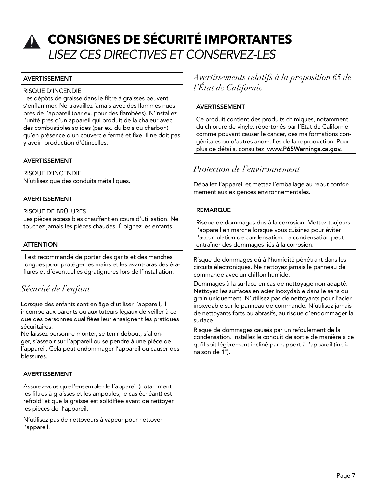# **CONSIGNES DE SÉCURITÉ IMPORTANTES**  *LISEZ CES DIRECTIVES ET CONSERVEZ-LES*

#### AVERTISSEMENT

#### RISQUE D'INCENDIE

Les dépôts de graisse dans le filtre à graisses peuvent s'enflammer. Ne travaillez jamais avec des flammes nues près de l'appareil (par ex. pour des flambées). N'installez l'unité près d'un appareil qui produit de la chaleur avec des combustibles solides (par ex. du bois ou charbon) qu'en présence d'un couvercle fermé et fixe. Il ne doit pas y avoir production d'étincelles.

#### AVERTISSEMENT

RISQUE D'INCENDIE N'utilisez que des conduits métalliques.

#### AVERTISSEMENT

#### RISQUE DE BRÛLURES

Les pièces accessibles chauffent en cours d'utilisation. Ne touchez jamais les pièces chaudes. Éloignez les enfants.

#### **ATTENTION**

Il est recommandé de porter des gants et des manches longues pour protéger les mains et les avant-bras des éraflures et d'éventuelles égratignures lors de l'installation.

### *Sécurité de l'enfant*

Lorsque des enfants sont en âge d'utiliser l'appareil, il incombe aux parents ou aux tuteurs légaux de veiller à ce que des personnes qualifiées leur enseignent les pratiques sécuritaires.

Ne laissez personne monter, se tenir debout, s'allonger, s'asseoir sur l'appareil ou se pendre à une pièce de l'appareil. Cela peut endommager l'appareil ou causer des blessures.

#### AVERTISSEMENT

Assurez-vous que l'ensemble de l'appareil (notamment les filtres à graisses et les ampoules, le cas échéant) est refroidi et que la graisse est solidifiée avant de nettoyer les pièces de l'appareil.

N'utilisez pas de nettoyeurs à vapeur pour nettoyer l'appareil.

### *Avertissements relatifs à la proposition 65 de l'État de Californie*

#### AVERTISSEMENT

Ce produit contient des produits chimiques, notamment du chlorure de vinyle, répertoriés par l'État de Californie comme pouvant causer le cancer, des malformations congénitales ou d'autres anomalies de la reproduction. Pour plus de détails, consultez www.P65Warnings.ca.gov.

### *Protection de l'environnement*

Déballez l'appareil et mettez l'emballage au rebut conformément aux exigences environnementales.

#### **REMARQUE**

Risque de dommages dus à la corrosion. Mettez toujours l'appareil en marche lorsque vous cuisinez pour éviter l'accumulation de condensation. La condensation peut entraîner des dommages liés à la corrosion.

Risque de dommages dû à l'humidité pénétrant dans les circuits électroniques. Ne nettoyez jamais le panneau de commande avec un chiffon humide.

Dommages à la surface en cas de nettoyage non adapté. Nettoyez les surfaces en acier inoxydable dans le sens du grain uniquement. N'utilisez pas de nettoyants pour l'acier inoxydable sur le panneau de commande. N'utilisez jamais de nettoyants forts ou abrasifs, au risque d'endommager la surface.

Risque de dommages causés par un refoulement de la condensation. Installez le conduit de sortie de manière à ce qu'il soit légèrement incliné par rapport à l'appareil (inclinaison de 1°).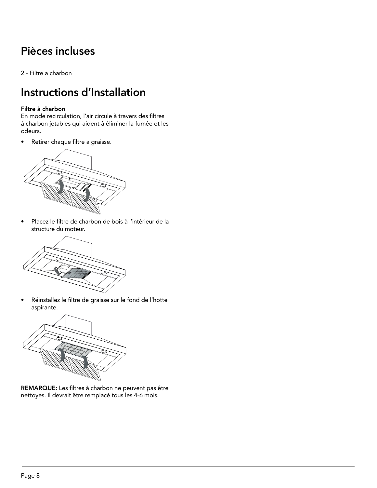# **Pièces incluses**

2 - Filtre a charbon

# **Instructions d'Installation**

#### Filtre à charbon

En mode recirculation, l'air circule à travers des filtres à charbon jetables qui aident à éliminer la fumée et les odeurs.

• Retirer chaque filtre a graisse.



• Placez le filtre de charbon de bois à l'intérieur de la structure du moteur.



• Réinstallez le filtre de graisse sur le fond de l'hotte aspirante.



REMARQUE: Les filtres à charbon ne peuvent pas être nettoyés. Il devrait être remplacé tous les 4-6 mois.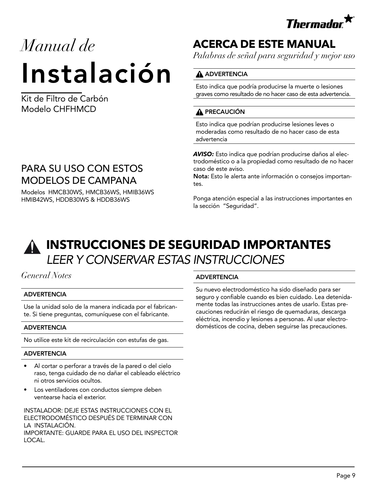

# *Manual de* Instalación

Kit de Filtro de Carbón Modelo CHFHMCD

## PARA SU USO CON ESTOS MODELOS DE CAMPANA

Modelos HMCB30WS, HMCB36WS, HMIB36WS HMIB42WS, HDDB30WS & HDDB36WS

# **ACERCA DE ESTE MANUAL**

*Palabras de señal para seguridad y mejor uso*

#### **A** ADVERTENCIA

Esto indica que podría producirse la muerte o lesiones graves como resultado de no hacer caso de esta advertencia.

### **A** PRECAUCIÓN

Esto indica que podrían producirse lesiones leves o moderadas como resultado de no hacer caso de esta advertencia

*AVISO:* Esto indica que podrían producirse daños al electrodoméstico o a la propiedad como resultado de no hacer caso de este aviso.

Nota: Esto le alerta ante información o consejos importantes.

Ponga atención especial a las instrucciones importantes en la sección "Seguridad".



# **INSTRUCCIONES DE SEGURIDAD IMPORTANTES** *LEER Y CONSERVAR ESTAS INSTRUCCIONES*

### *General Notes*

#### ADVERTENCIA

Use la unidad solo de la manera indicada por el fabricante. Si tiene preguntas, comuníquese con el fabricante.

#### ADVERTENCIA

No utilice este kit de recirculación con estufas de gas.

#### ADVERTENCIA

- Al cortar o perforar a través de la pared o del cielo raso, tenga cuidado de no dañar el cableado eléctrico ni otros servicios ocultos.
- Los ventiladores con conductos siempre deben ventearse hacia el exterior.

INSTALADOR: DEJE ESTAS INSTRUCCIONES CON EL ELECTRODOMÉSTICO DESPUÉS DE TERMINAR CON LA INSTALACIÓN. IMPORTANTE: GUARDE PARA EL USO DEL INSPECTOR LOCAL.

#### ADVERTENCIA

Su nuevo electrodoméstico ha sido diseñado para ser seguro y confiable cuando es bien cuidado. Lea detenidamente todas las instrucciones antes de usarlo. Estas precauciones reducirán el riesgo de quemaduras, descarga eléctrica, incendio y lesiones a personas. Al usar electrodomésticos de cocina, deben seguirse las precauciones.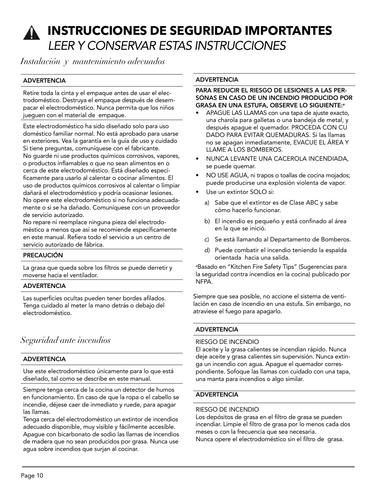# **INSTRUCCIONES DE SEGURIDAD IMPORTANTES** *LEER Y CONSERVAR ESTAS INSTRUCCIONES*

*Instalación y mantenimiento adecuados*

#### ADVERTENCIA

Retire toda la cinta y el empaque antes de usar el electrodoméstico. Destruya el empaque después de desempacar el electrodoméstico. Nunca permita que los niños jueguen con el material de empaque.

Este electrodoméstico ha sido diseñado solo para uso doméstico familiar normal. No está aprobado para usarse en exteriores. Vea la garantía en la guía de uso y cuidado Si tiene preguntas, comuníquese con el fabricante. No guarde ni use productos químicos corrosivos, vapores, o productos inflamables o que no sean alimentos en o cerca de este electrodoméstico. Está diseñado específicamente para usarlo al calentar o cocinar alimentos. El uso de productos químicos corrosivos al calentar o limpiar dañará el electrodoméstico y podría ocasionar lesiones. No opere este electrodoméstico si no funciona adecuadamente o si se ha dañado. Comuníquese con un proveedor de servicio autorizado.

No repare ni reemplace ninguna pieza del electrodoméstico a menos que así se recomiende específicamente en este manual. Refiera todo el servicio a un centro de servicio autorizado de fábrica.

#### PRECAUCIÓN

La grasa que queda sobre los filtros se puede derretir y moverse hacia el ventilador.

#### ADVERTENCIA

Las superficies ocultas pueden tener bordes afilados. Tenga cuidado al meter la mano detrás o debajo del electrodoméstico.

### *Seguridad ante incendios*

#### ADVERTENCIA

Use este electrodoméstico únicamente para lo que está diseñado, tal como se describe en este manual.

Siempre tenga cerca de la cocina un detector de humos en funcionamiento. En caso de que la ropa o el cabello se incendie, déjese caer de inmediato y ruede, para apagar las llamas.

Tenga cerca del electrodoméstico un extintor de incendios adecuado disponible, muy visible y fácilmente accesible. Apague con bicarbonato de sodio las llamas de incendios de madera que no sean producidos por grasa. Nunca use agua sobre incendios que surjan al cocinar.

#### **ADVERTENCIA**

#### PARA REDUCIR EL RIESGO DE LESIONES A LAS PER-SONAS EN CASO DE UN INCENDIO PRODUCIDO POR GRASA EN UNA ESTUFA, OBSERVE LO SIGUIENTE:<sup>a</sup>

- APAGUE LAS LLAMAS con una tapa de ajuste exacto, una charola para galletas o una bandeja de metal, y después apague el quemador. PROCEDA CON CU DADO PARA EVITAR QUEMADURAS. Si las llamas no se apagan inmediatamente, EVACUE EL ÁREA Y LLAME A LOS BOMBEROS.
- NUNCA LEVANTE UNA CACEROLA INCENDIADA, se puede quemar.
- NO USE AGUA, ni trapos o toallas de cocina mojados; puede producirse una explosión violenta de vapor.
- Use un extintor SOLO si:
	- a) Sabe que el extintor es de Clase ABC y sabe cómo hacerlo funcionar.
	- b) El incendio es pequeño y está confinado al área en la que se inició.
	- c) Se está llamando al Departamento de Bomberos.
	- d) Puede combatir el incendio teniendo la espalda orientada hacia una salida.

a Basado en "Kitchen Fire Safety Tips" (Sugerencias para la seguridad contra incendios en la cocina) publicado por NFPA.

Siempre que sea posible, no accione el sistema de ventilación en caso de incendio en una estufa. Sin embargo, no atraviese el fuego para apagarlo.

#### **ADVERTENCIA**

#### RIESGO DE INCENDIO

El aceite y la grasa calientes se incendian rápido. Nunca deje aceite y grasa calientes sin supervisión. Nunca extinga un incendio con agua. Apague el quemador correspondiente. Sofoque las llamas con cuidado con una tapa, una manta para incendios o algo similar.

#### **ADVERTENCIA**

#### RIESGO DE INCENDIO

Los depósitos de grasa en el filtro de grasa se pueden incendiar. Limpie el filtro de grasa por lo menos cada dos meses o con la frecuencia que sea necesaria. Nunca opere el electrodoméstico sin el filtro de grasa.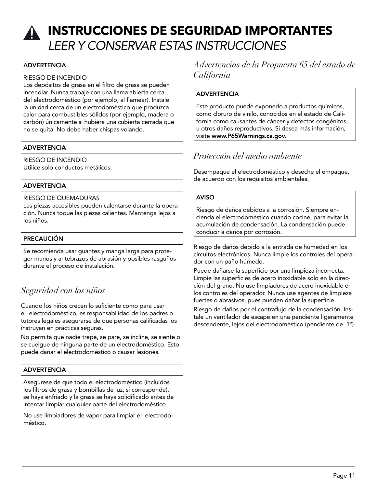# **INSTRUCCIONES DE SEGURIDAD IMPORTANTES** *LEER Y CONSERVAR ESTAS INSTRUCCIONES*

#### ADVERTENCIA

#### RIESGO DE INCENDIO

Los depósitos de grasa en el filtro de grasa se pueden incendiar. Nunca trabaje con una llama abierta cerca del electrodoméstico (por ejemplo, al flamear). Instale la unidad cerca de un electrodoméstico que produzca calor para combustibles sólidos (por ejemplo, madera o carbón) únicamente si hubiera una cubierta cerrada que no se quita. No debe haber chispas volando.

#### ADVERTENCIA

RIESGO DE INCENDIO Utilice solo conductos metálicos.

#### ADVERTENCIA

#### RIESGO DE QUEMADURAS

Las piezas accesibles pueden calentarse durante la operación. Nunca toque las piezas calientes. Mantenga lejos a los niños.

#### PRECAUCIÓN

Se recomienda usar guantes y manga larga para proteger manos y antebrazos de abrasión y posibles rasguños durante el proceso de instalación.

### *Seguridad con los niños*

Cuando los niños crecen lo suficiente como para usar el electrodoméstico, es responsabilidad de los padres o tutores legales asegurarse de que personas calificadas los instruyan en prácticas seguras.

No permita que nadie trepe, se pare, se incline, se siente o se cuelgue de ninguna parte de un electrodoméstico. Esto puede dañar el electrodoméstico o causar lesiones.

#### ADVERTENCIA

Asegúrese de que todo el electrodoméstico (incluidos los filtros de grasa y bombillas de luz, si corresponde), se haya enfriado y la grasa se haya solidificado antes de intentar limpiar cualquier parte del electrodoméstico.

No use limpiadores de vapor para limpiar el electrodoméstico.

*Advertencias de la Propuesta 65 del estado de California*

#### **ADVERTENCIA**

Este producto puede exponerlo a productos químicos, como cloruro de vinilo, conocidos en el estado de California como causantes de cáncer y defectos congénitos u otros daños reproductivos. Si desea más información, visite www.P65Warnings.ca.gov.

### *Protección del medio ambiente*

Desempaque el electrodoméstico y deseche el empaque, de acuerdo con los requisitos ambientales.

#### AVISO

Riesgo de daños debidos a la corrosión. Siempre encienda el electrodoméstico cuando cocine, para evitar la acumulación de condensación. La condensación puede conducir a daños por corrosión.

Riesgo de daños debido a la entrada de humedad en los circuitos electrónicos. Nunca limpie los controles del operador con un paño húmedo.

Puede dañarse la superficie por una limpieza incorrecta. Limpie las superficies de acero inoxidable solo en la dirección del grano. No use limpiadores de acero inoxidable en los controles del operador. Nunca use agentes de limpieza fuertes o abrasivos, pues pueden dañar la superficie.

Riesgo de daños por el contraflujo de la condensación. Instale un ventilador de escape en una pendiente ligeramente descendente, lejos del electrodoméstico (pendiente de 1°).